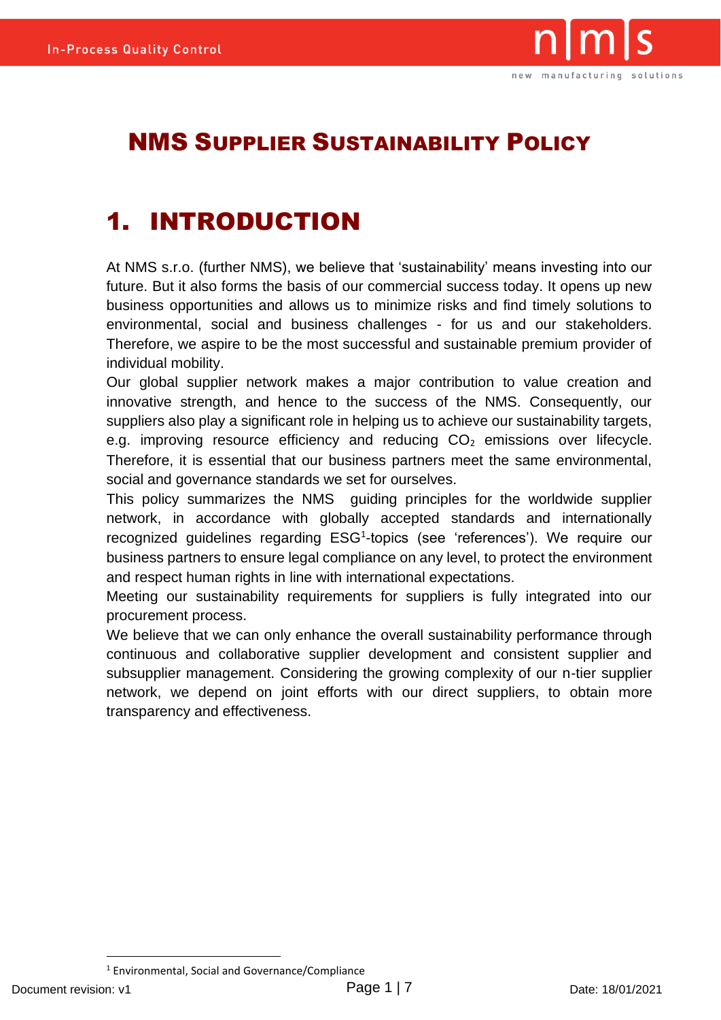

#### NMS SUPPLIER SUSTAINABILITY POLICY

### 1. INTRODUCTION

At NMS s.r.o. (further NMS), we believe that 'sustainability' means investing into our future. But it also forms the basis of our commercial success today. It opens up new business opportunities and allows us to minimize risks and find timely solutions to environmental, social and business challenges - for us and our stakeholders. Therefore, we aspire to be the most successful and sustainable premium provider of individual mobility.

Our global supplier network makes a major contribution to value creation and innovative strength, and hence to the success of the NMS. Consequently, our suppliers also play a significant role in helping us to achieve our sustainability targets, e.g. improving resource efficiency and reducing  $CO<sub>2</sub>$  emissions over lifecycle. Therefore, it is essential that our business partners meet the same environmental, social and governance standards we set for ourselves.

This policy summarizes the NMS guiding principles for the worldwide supplier network, in accordance with globally accepted standards and internationally recognized guidelines regarding ESG<sup>1</sup>-topics (see 'references'). We require our business partners to ensure legal compliance on any level, to protect the environment and respect human rights in line with international expectations.

Meeting our sustainability requirements for suppliers is fully integrated into our procurement process.

We believe that we can only enhance the overall sustainability performance through continuous and collaborative supplier development and consistent supplier and subsupplier management. Considering the growing complexity of our n-tier supplier network, we depend on joint efforts with our direct suppliers, to obtain more transparency and effectiveness.

<sup>1</sup> Environmental, Social and Governance/Compliance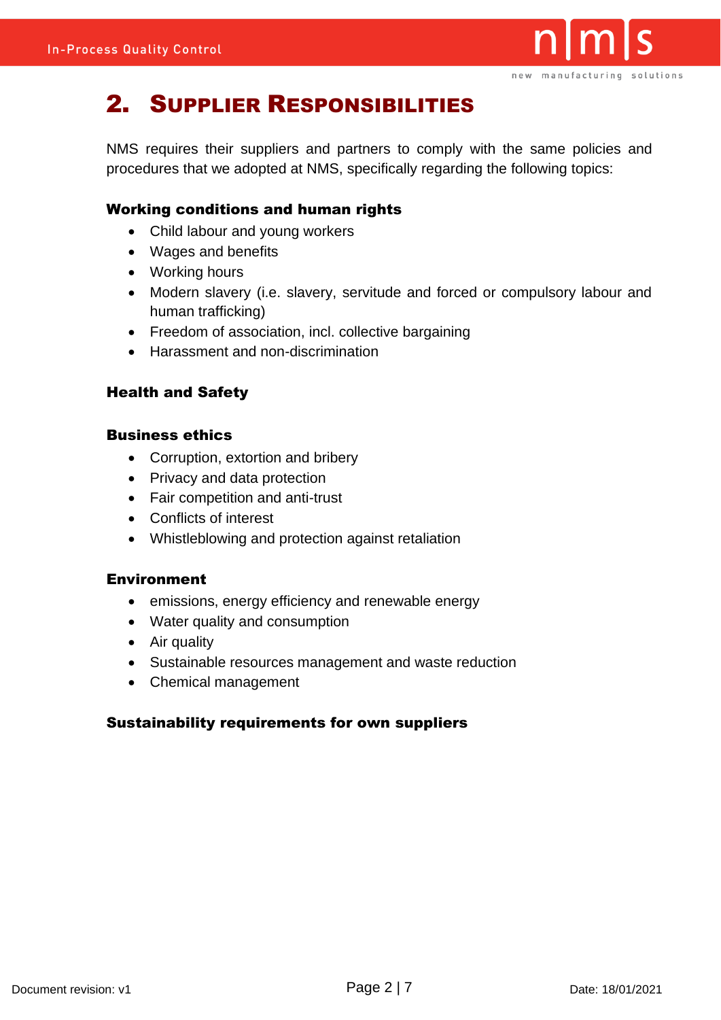

### 2. SUPPLIER RESPONSIBILITIES

NMS requires their suppliers and partners to comply with the same policies and procedures that we adopted at NMS, specifically regarding the following topics:

#### Working conditions and human rights

- Child labour and young workers
- Wages and benefits
- Working hours
- Modern slavery (i.e. slavery, servitude and forced or compulsory labour and human trafficking)
- Freedom of association, incl. collective bargaining
- Harassment and non-discrimination

#### Health and Safety

#### Business ethics

- Corruption, extortion and bribery
- Privacy and data protection
- Fair competition and anti-trust
- Conflicts of interest
- Whistleblowing and protection against retaliation

#### Environment

- emissions, energy efficiency and renewable energy
- Water quality and consumption
- Air quality
- Sustainable resources management and waste reduction
- Chemical management

#### Sustainability requirements for own suppliers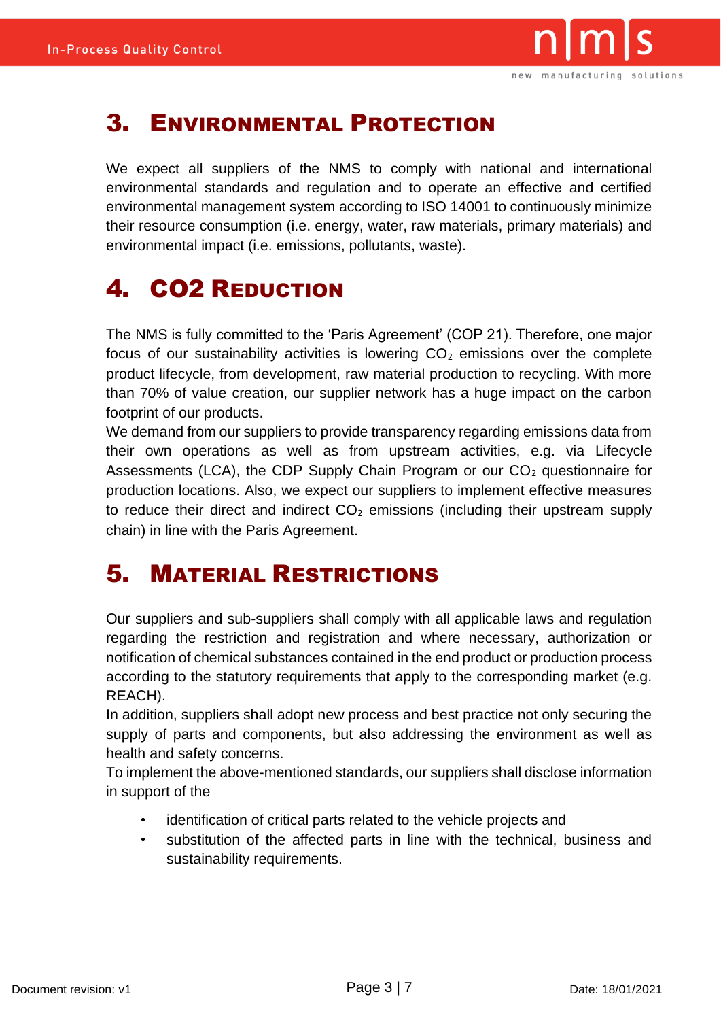

#### 3. ENVIRONMENTAL PROTECTION

We expect all suppliers of the NMS to comply with national and international environmental standards and regulation and to operate an effective and certified environmental management system according to ISO 14001 to continuously minimize their resource consumption (i.e. energy, water, raw materials, primary materials) and environmental impact (i.e. emissions, pollutants, waste).

## 4. CO2 REDUCTION

The NMS is fully committed to the 'Paris Agreement' (COP 21). Therefore, one major focus of our sustainability activities is lowering  $CO<sub>2</sub>$  emissions over the complete product lifecycle, from development, raw material production to recycling. With more than 70% of value creation, our supplier network has a huge impact on the carbon footprint of our products.

We demand from our suppliers to provide transparency regarding emissions data from their own operations as well as from upstream activities, e.g. via Lifecycle Assessments (LCA), the CDP Supply Chain Program or our  $CO<sub>2</sub>$  questionnaire for production locations. Also, we expect our suppliers to implement effective measures to reduce their direct and indirect  $CO<sub>2</sub>$  emissions (including their upstream supply chain) in line with the Paris Agreement.

#### 5. MATERIAL RESTRICTIONS

Our suppliers and sub-suppliers shall comply with all applicable laws and regulation regarding the restriction and registration and where necessary, authorization or notification of chemical substances contained in the end product or production process according to the statutory requirements that apply to the corresponding market (e.g. REACH).

In addition, suppliers shall adopt new process and best practice not only securing the supply of parts and components, but also addressing the environment as well as health and safety concerns.

To implement the above-mentioned standards, our suppliers shall disclose information in support of the

- identification of critical parts related to the vehicle projects and
- substitution of the affected parts in line with the technical, business and sustainability requirements.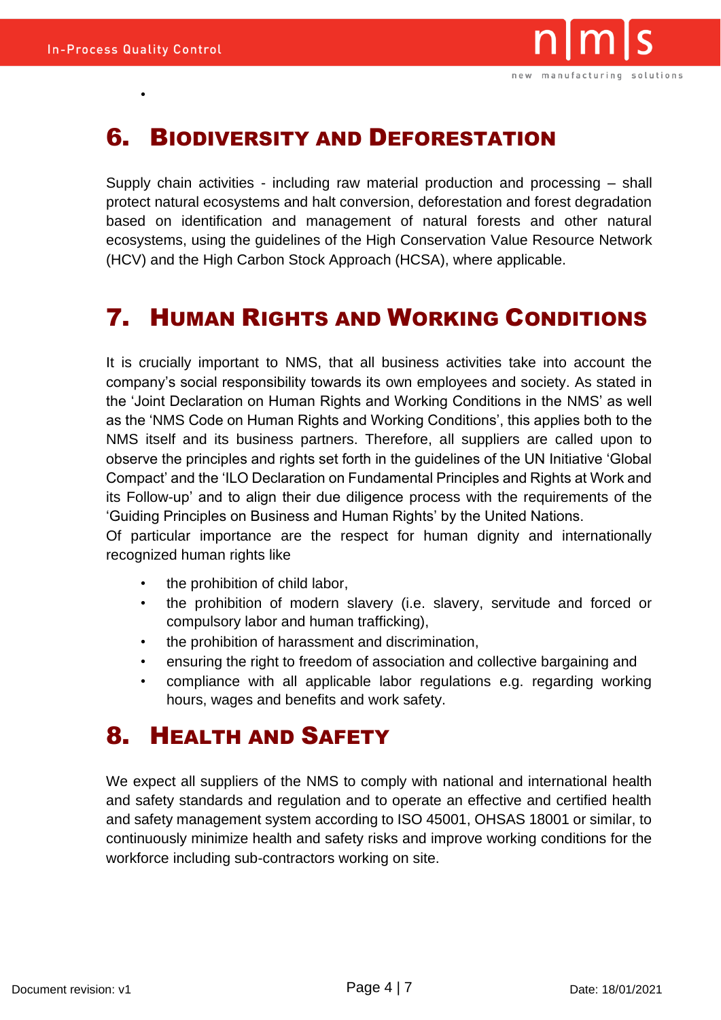•



#### 6. BIODIVERSITY AND DEFORESTATION

Supply chain activities - including raw material production and processing – shall protect natural ecosystems and halt conversion, deforestation and forest degradation based on identification and management of natural forests and other natural ecosystems, using the guidelines of the High Conservation Value Resource Network (HCV) and the High Carbon Stock Approach (HCSA), where applicable.

#### 7. HUMAN RIGHTS AND WORKING CONDITIONS

It is crucially important to NMS, that all business activities take into account the company's social responsibility towards its own employees and society. As stated in the 'Joint Declaration on Human Rights and Working Conditions in the NMS' as well as the 'NMS Code on Human Rights and Working Conditions', this applies both to the NMS itself and its business partners. Therefore, all suppliers are called upon to observe the principles and rights set forth in the guidelines of the UN Initiative 'Global Compact' and the 'ILO Declaration on Fundamental Principles and Rights at Work and its Follow-up' and to align their due diligence process with the requirements of the 'Guiding Principles on Business and Human Rights' by the United Nations.

Of particular importance are the respect for human dignity and internationally recognized human rights like

- the prohibition of child labor,
- the prohibition of modern slavery (i.e. slavery, servitude and forced or compulsory labor and human trafficking),
- the prohibition of harassment and discrimination,
- ensuring the right to freedom of association and collective bargaining and
- compliance with all applicable labor regulations e.g. regarding working hours, wages and benefits and work safety.

#### 8. HEALTH AND SAFETY

We expect all suppliers of the NMS to comply with national and international health and safety standards and regulation and to operate an effective and certified health and safety management system according to ISO 45001, OHSAS 18001 or similar, to continuously minimize health and safety risks and improve working conditions for the workforce including sub-contractors working on site.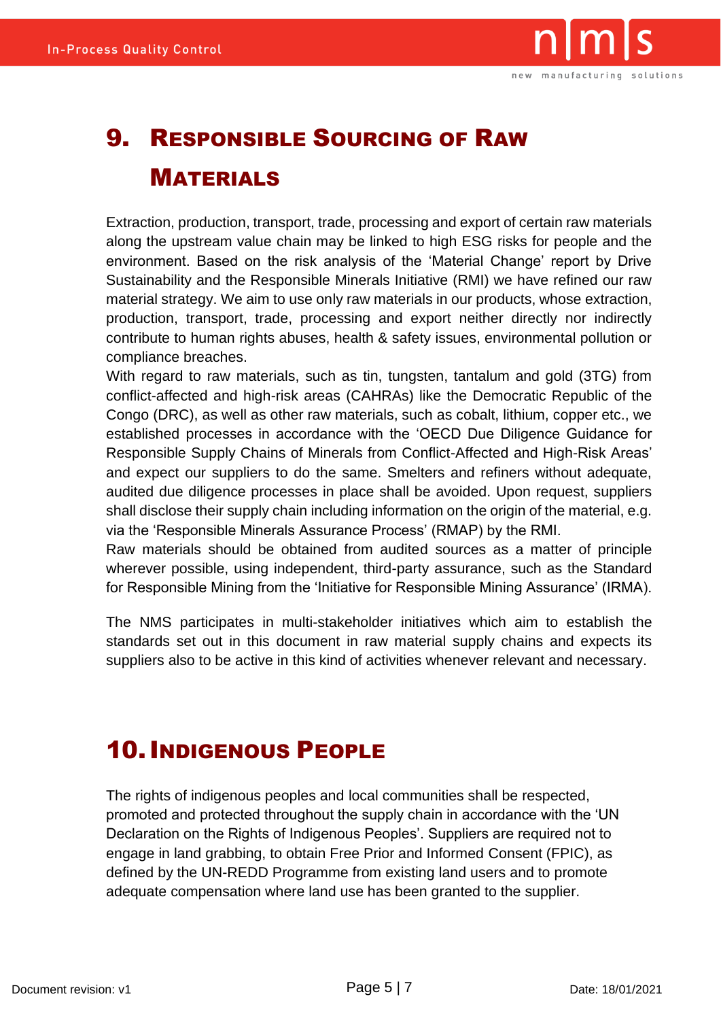

# 9. RESPONSIBLE SOURCING OF RAW MATERIALS

Extraction, production, transport, trade, processing and export of certain raw materials along the upstream value chain may be linked to high ESG risks for people and the environment. Based on the risk analysis of the 'Material Change' report by Drive Sustainability and the Responsible Minerals Initiative (RMI) we have refined our raw material strategy. We aim to use only raw materials in our products, whose extraction, production, transport, trade, processing and export neither directly nor indirectly contribute to human rights abuses, health & safety issues, environmental pollution or compliance breaches.

With regard to raw materials, such as tin, tungsten, tantalum and gold (3TG) from conflict-affected and high-risk areas (CAHRAs) like the Democratic Republic of the Congo (DRC), as well as other raw materials, such as cobalt, lithium, copper etc., we established processes in accordance with the 'OECD Due Diligence Guidance for Responsible Supply Chains of Minerals from Conflict-Affected and High-Risk Areas' and expect our suppliers to do the same. Smelters and refiners without adequate, audited due diligence processes in place shall be avoided. Upon request, suppliers shall disclose their supply chain including information on the origin of the material, e.g. via the 'Responsible Minerals Assurance Process' (RMAP) by the RMI.

Raw materials should be obtained from audited sources as a matter of principle wherever possible, using independent, third-party assurance, such as the Standard for Responsible Mining from the 'Initiative for Responsible Mining Assurance' (IRMA).

The NMS participates in multi-stakeholder initiatives which aim to establish the standards set out in this document in raw material supply chains and expects its suppliers also to be active in this kind of activities whenever relevant and necessary.

### 10.INDIGENOUS PEOPLE

The rights of indigenous peoples and local communities shall be respected, promoted and protected throughout the supply chain in accordance with the 'UN Declaration on the Rights of Indigenous Peoples'. Suppliers are required not to engage in land grabbing, to obtain Free Prior and Informed Consent (FPIC), as defined by the UN-REDD Programme from existing land users and to promote adequate compensation where land use has been granted to the supplier.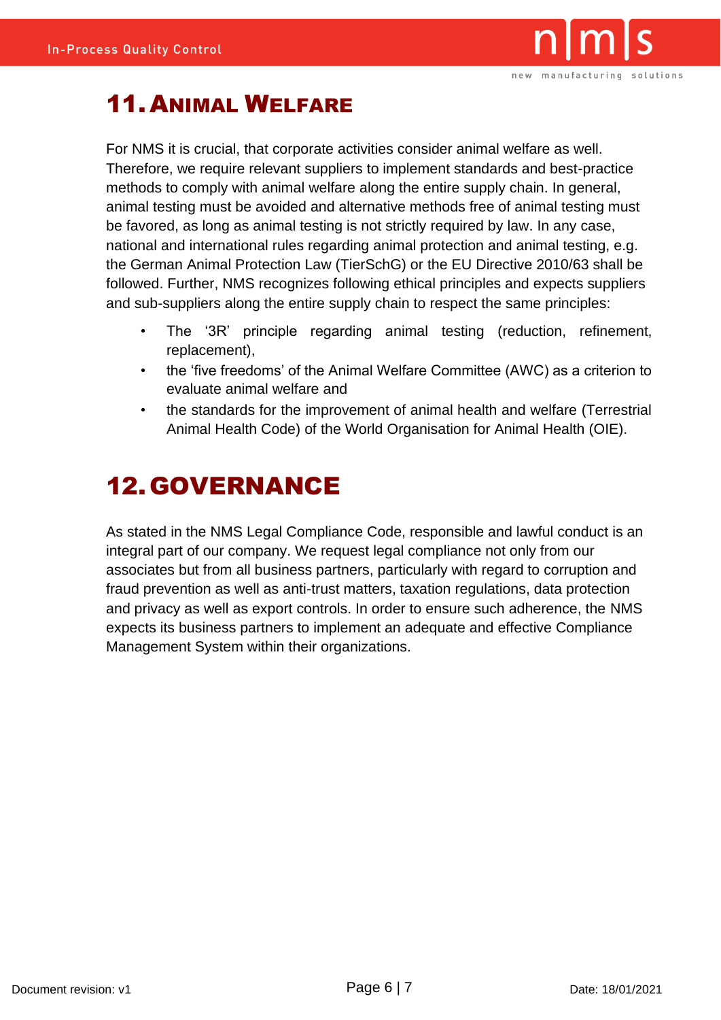

### 11.ANIMAL WELFARE

For NMS it is crucial, that corporate activities consider animal welfare as well. Therefore, we require relevant suppliers to implement standards and best-practice methods to comply with animal welfare along the entire supply chain. In general, animal testing must be avoided and alternative methods free of animal testing must be favored, as long as animal testing is not strictly required by law. In any case, national and international rules regarding animal protection and animal testing, e.g. the German Animal Protection Law (TierSchG) or the EU Directive 2010/63 shall be followed. Further, NMS recognizes following ethical principles and expects suppliers and sub-suppliers along the entire supply chain to respect the same principles:

- The '3R' principle regarding animal testing (reduction, refinement, replacement),
- the 'five freedoms' of the Animal Welfare Committee (AWC) as a criterion to evaluate animal welfare and
- the standards for the improvement of animal health and welfare (Terrestrial Animal Health Code) of the World Organisation for Animal Health (OIE).

## 12.GOVERNANCE

As stated in the NMS Legal Compliance Code, responsible and lawful conduct is an integral part of our company. We request legal compliance not only from our associates but from all business partners, particularly with regard to corruption and fraud prevention as well as anti-trust matters, taxation regulations, data protection and privacy as well as export controls. In order to ensure such adherence, the NMS expects its business partners to implement an adequate and effective Compliance Management System within their organizations.